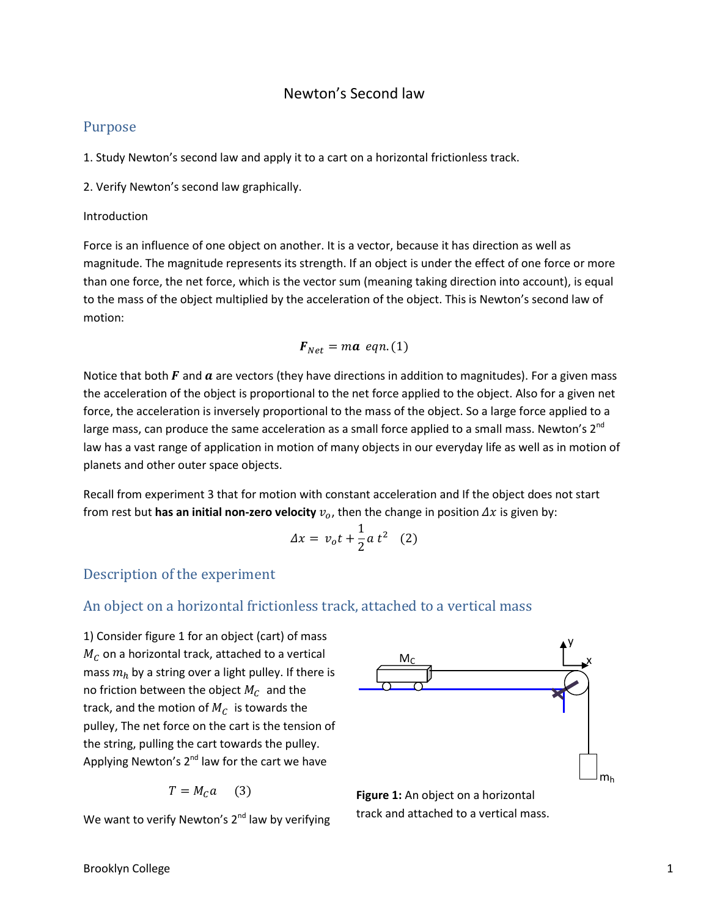#### Newton's Second law

#### Purpose

1. Study Newton's second law and apply it to a cart on a horizontal frictionless track.

2. Verify Newton's second law graphically.

#### Introduction

Force is an influence of one object on another. It is a vector, because it has direction as well as magnitude. The magnitude represents its strength. If an object is under the effect of one force or more than one force, the net force, which is the vector sum (meaning taking direction into account), is equal to the mass of the object multiplied by the acceleration of the object. This is Newton's second law of motion:

$$
\boldsymbol{F}_{Net} = ma \ \textit{eqn.} (1)
$$

Notice that both  $F$  and  $a$  are vectors (they have directions in addition to magnitudes). For a given mass the acceleration of the object is proportional to the net force applied to the object. Also for a given net force, the acceleration is inversely proportional to the mass of the object. So a large force applied to a large mass, can produce the same acceleration as a small force applied to a small mass. Newton's 2<sup>nd</sup> law has a vast range of application in motion of many objects in our everyday life as well as in motion of planets and other outer space objects.

Recall from experiment 3 that for motion with constant acceleration and If the object does not start from rest but **has an initial non-zero velocity**  $v_o$ , then the change in position  $\Delta x$  is given by:

$$
\Delta x = v_o t + \frac{1}{2} a t^2 \quad (2)
$$

## Description of the experiment

## An object on a horizontal frictionless track, attached to a vertical mass

1) Consider figure 1 for an object (cart) of mass  $M_c$  on a horizontal track, attached to a vertical mass  $m_h$  by a string over a light pulley. If there is no friction between the object  $M_c$  and the track, and the motion of  $M_c$  is towards the pulley, The net force on the cart is the tension of the string, pulling the cart towards the pulley. Applying Newton's  $2^{nd}$  law for the cart we have

$$
T = M_C a \qquad (3)
$$

We want to verify Newton's  $2<sup>nd</sup>$  law by verifying



**Figure 1:** An object on a horizontal track and attached to a vertical mass.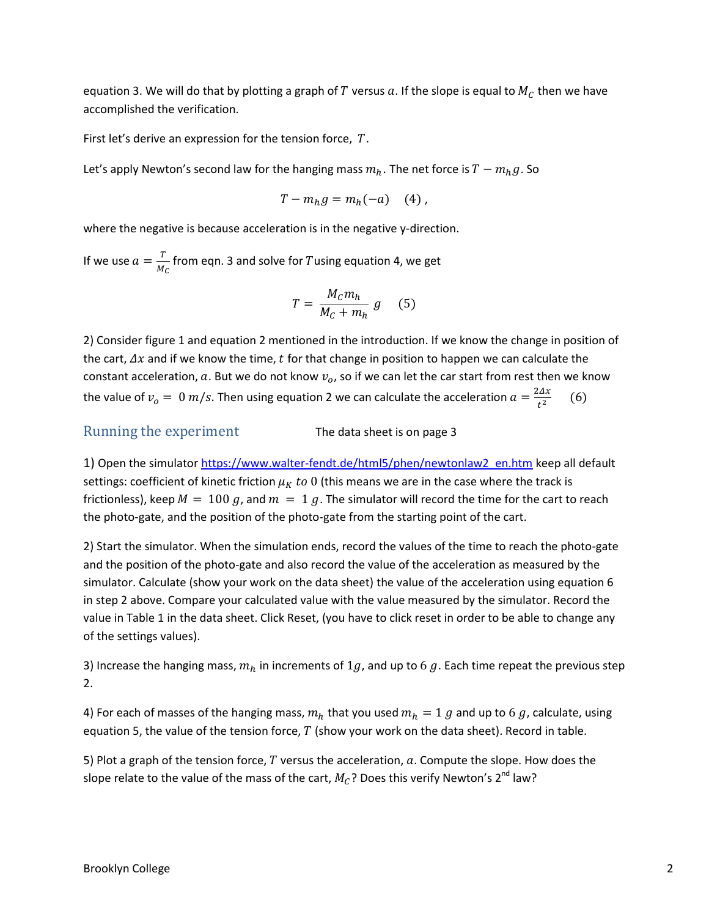equation 3. We will do that by plotting a graph of T versus a. If the slope is equal to  $M_C$  then we have accomplished the verification.

First let's derive an expression for the tension force,  $T$ .

Let's apply Newton's second law for the hanging mass  $m_h$ . The net force is  $T - m_h g$ . So

$$
T - m_h g = m_h(-a) \quad (4)
$$

where the negative is because acceleration is in the negative y-direction.

If we use  $a = \frac{T}{M}$  $\frac{1}{M_C}$  from eqn. 3 and solve for Tusing equation 4, we get

$$
T = \frac{M_c m_h}{M_c + m_h} g \qquad (5)
$$

2) Consider figure 1 and equation 2 mentioned in the introduction. If we know the change in position of the cart,  $\Delta x$  and if we know the time, t for that change in position to happen we can calculate the constant acceleration, a. But we do not know  $v<sub>o</sub>$ , so if we can let the car start from rest then we know the value of  $v_o = 0$   $m/s$ . Then using equation 2 we can calculate the acceleration  $a = \frac{2}{3}$  $t^2$  $(6)$ 

Running the experiment The data sheet is on page 3

1) Open the simulato[r https://www.walter-fendt.de/html5/phen/newtonlaw2\\_en.htm](https://www.walter-fendt.de/html5/phen/newtonlaw2_en.htm) keep all default settings: coefficient of kinetic friction  $\mu_K$  to 0 (this means we are in the case where the track is frictionless), keep  $M = 100 g$ , and  $m = 1 g$ . The simulator will record the time for the cart to reach the photo-gate, and the position of the photo-gate from the starting point of the cart.

2) Start the simulator. When the simulation ends, record the values of the time to reach the photo-gate and the position of the photo-gate and also record the value of the acceleration as measured by the simulator. Calculate (show your work on the data sheet) the value of the acceleration using equation 6 in step 2 above. Compare your calculated value with the value measured by the simulator. Record the value in Table 1 in the data sheet. Click Reset, (you have to click reset in order to be able to change any of the settings values).

3) Increase the hanging mass,  $m_h$  in increments of 1g, and up to 6 g. Each time repeat the previous step 2.

4) For each of masses of the hanging mass,  $m_h$  that you used  $m_h = 1$  g and up to 6 g, calculate, using equation 5, the value of the tension force,  $T$  (show your work on the data sheet). Record in table.

5) Plot a graph of the tension force,  $T$  versus the acceleration,  $a$ . Compute the slope. How does the slope relate to the value of the mass of the cart,  $M_C$ ? Does this verify Newton's 2<sup>nd</sup> law?